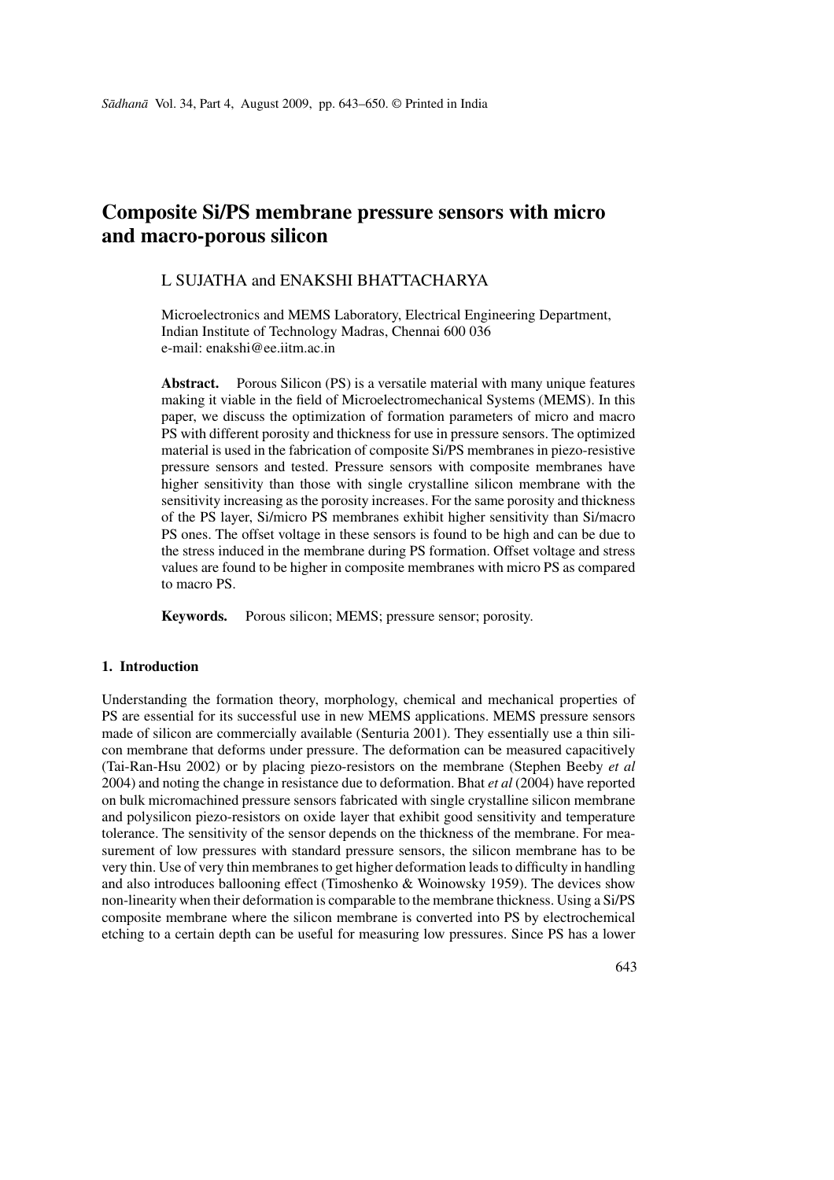# **Composite Si/PS membrane pressure sensors with micro and macro-porous silicon**

# L SUJATHA and ENAKSHI BHATTACHARYA

Microelectronics and MEMS Laboratory, Electrical Engineering Department, Indian Institute of Technology Madras, Chennai 600 036 e-mail: enakshi@ee.iitm.ac.in

Abstract. Porous Silicon (PS) is a versatile material with many unique features making it viable in the field of Microelectromechanical Systems (MEMS). In this paper, we discuss the optimization of formation parameters of micro and macro PS with different porosity and thickness for use in pressure sensors. The optimized material is used in the fabrication of composite Si/PS membranes in piezo-resistive pressure sensors and tested. Pressure sensors with composite membranes have higher sensitivity than those with single crystalline silicon membrane with the sensitivity increasing as the porosity increases. For the same porosity and thickness of the PS layer, Si/micro PS membranes exhibit higher sensitivity than Si/macro PS ones. The offset voltage in these sensors is found to be high and can be due to the stress induced in the membrane during PS formation. Offset voltage and stress values are found to be higher in composite membranes with micro PS as compared to macro PS.

**Keywords.** Porous silicon; MEMS; pressure sensor; porosity.

# **1. Introduction**

Understanding the formation theory, morphology, chemical and mechanical properties of PS are essential for its successful use in new MEMS applications. MEMS pressure sensors made of silicon are commercially available (Senturia 2001). They essentially use a thin silicon membrane that deforms under pressure. The deformation can be measured capacitively (Tai-Ran-Hsu 2002) or by placing piezo-resistors on the membrane (Stephen Beeby *et al* 2004) and noting the change in resistance due to deformation. Bhat *et al* (2004) have reported on bulk micromachined pressure sensors fabricated with single crystalline silicon membrane and polysilicon piezo-resistors on oxide layer that exhibit good sensitivity and temperature tolerance. The sensitivity of the sensor depends on the thickness of the membrane. For measurement of low pressures with standard pressure sensors, the silicon membrane has to be very thin. Use of very thin membranes to get higher deformation leads to difficulty in handling and also introduces ballooning effect (Timoshenko & Woinowsky 1959). The devices show non-linearity when their deformation is comparable to the membrane thickness. Using a Si/PS composite membrane where the silicon membrane is converted into PS by electrochemical etching to a certain depth can be useful for measuring low pressures. Since PS has a lower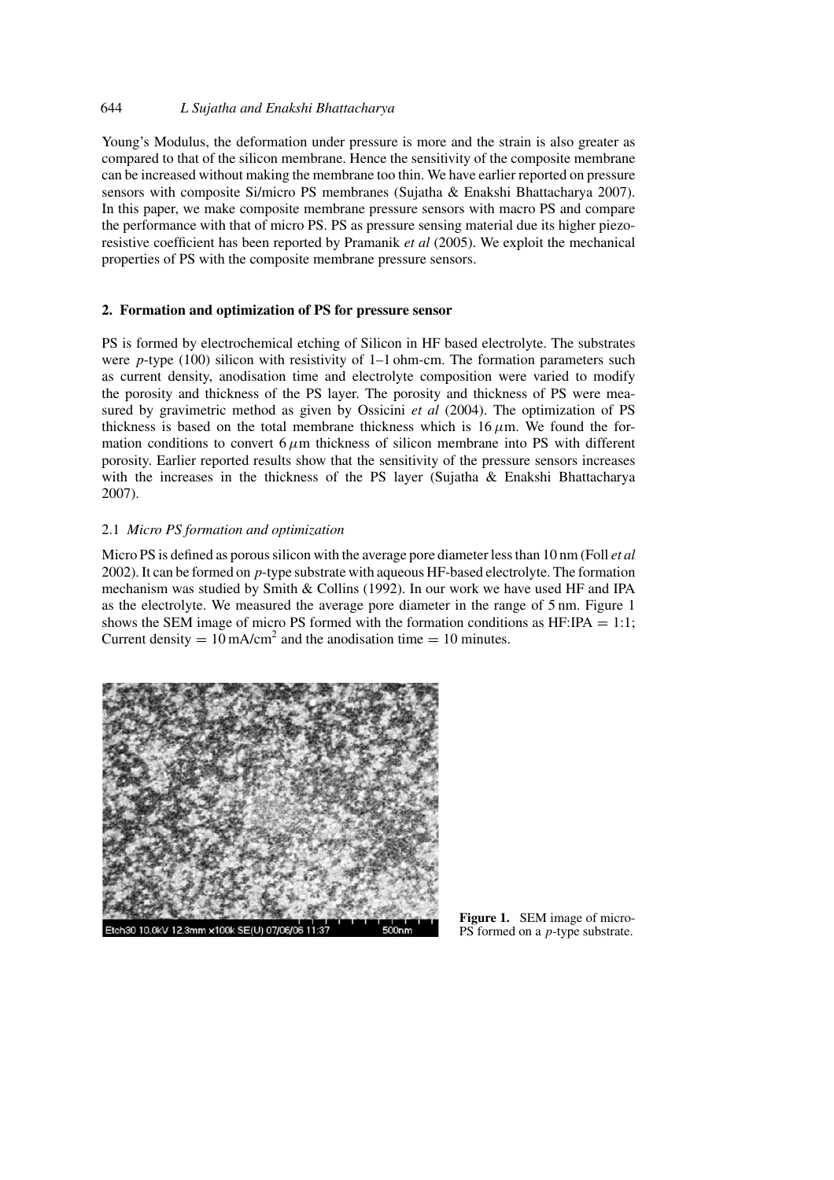# 644 *L Sujatha and Enakshi Bhattacharya*

Young's Modulus, the deformation under pressure is more and the strain is also greater as compared to that of the silicon membrane. Hence the sensitivity of the composite membrane can be increased without making the membrane too thin. We have earlier reported on pressure sensors with composite Si/micro PS membranes (Sujatha & Enakshi Bhattacharya 2007). In this paper, we make composite membrane pressure sensors with macro PS and compare the performance with that of micro PS. PS as pressure sensing material due its higher piezoresistive coefficient has been reported by Pramanik *et al* (2005). We exploit the mechanical properties of PS with the composite membrane pressure sensors.

# **2. Formation and optimization of PS for pressure sensor**

PS is formed by electrochemical etching of Silicon in HF based electrolyte. The substrates were *p*-type (100) silicon with resistivity of 1–1 ohm-cm. The formation parameters such as current density, anodisation time and electrolyte composition were varied to modify the porosity and thickness of the PS layer. The porosity and thickness of PS were measured by gravimetric method as given by Ossicini *et al* (2004). The optimization of PS thickness is based on the total membrane thickness which is  $16 \mu m$ . We found the formation conditions to convert  $6 \mu m$  thickness of silicon membrane into PS with different porosity. Earlier reported results show that the sensitivity of the pressure sensors increases with the increases in the thickness of the PS layer (Sujatha & Enakshi Bhattacharya 2007).

# 2.1 *Micro PS formation and optimization*

Micro PS is defined as porous silicon with the average pore diameter less than 10 nm (Foll *et al* 2002). It can be formed on *p*-type substrate with aqueous HF-based electrolyte. The formation mechanism was studied by Smith  $\&$  Collins (1992). In our work we have used HF and IPA as the electrolyte. We measured the average pore diameter in the range of 5 nm. Figure 1 shows the SEM image of micro PS formed with the formation conditions as  $HF:IPA = 1:1$ ; Current density =  $10 \text{ mA/cm}^2$  and the anodisation time =  $10 \text{ minutes}$ .



**Figure 1.** SEM image of micro-PS formed on a *p*-type substrate.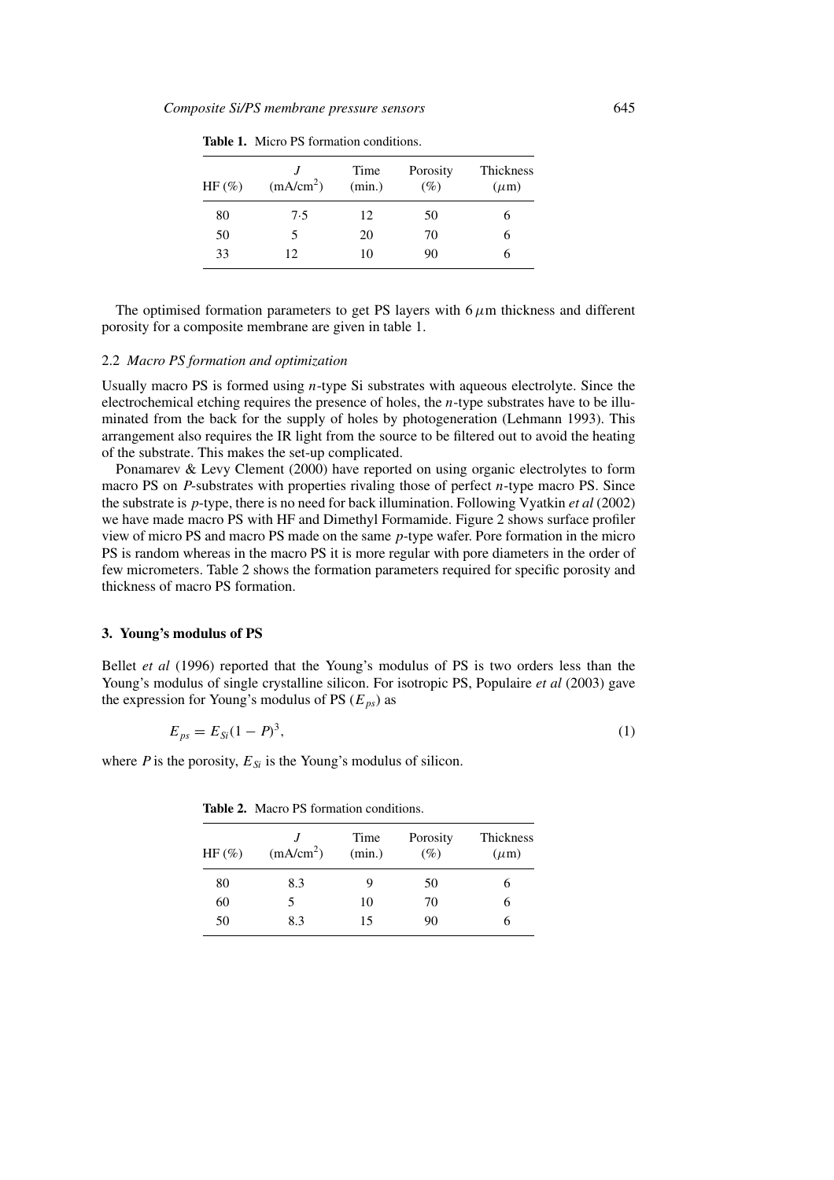| $HF(\%)$ | (mA/cm <sup>2</sup> ) | Time<br>(min.) | Porosity<br>$(\%)$ | Thickness<br>$(\mu m)$ |
|----------|-----------------------|----------------|--------------------|------------------------|
| 80       | 7.5                   | 12             | 50                 |                        |
| 50       | 5                     | 20             | 70                 | h                      |
| 33       | 12                    | 10             | 90                 | n                      |

**Table 1.** Micro PS formation conditions.

The optimised formation parameters to get PS layers with  $6 \mu m$  thickness and different porosity for a composite membrane are given in table 1.

#### 2.2 *Macro PS formation and optimization*

Usually macro PS is formed using *n*-type Si substrates with aqueous electrolyte. Since the electrochemical etching requires the presence of holes, the *n*-type substrates have to be illuminated from the back for the supply of holes by photogeneration (Lehmann 1993). This arrangement also requires the IR light from the source to be filtered out to avoid the heating of the substrate. This makes the set-up complicated.

Ponamarev & Levy Clement (2000) have reported on using organic electrolytes to form macro PS on *P*-substrates with properties rivaling those of perfect *n*-type macro PS. Since the substrate is *p*-type, there is no need for back illumination. Following Vyatkin *et al* (2002) we have made macro PS with HF and Dimethyl Formamide. Figure 2 shows surface profiler view of micro PS and macro PS made on the same *p*-type wafer. Pore formation in the micro PS is random whereas in the macro PS it is more regular with pore diameters in the order of few micrometers. Table 2 shows the formation parameters required for specific porosity and thickness of macro PS formation.

#### **3. Young's modulus of PS**

Bellet *et al* (1996) reported that the Young's modulus of PS is two orders less than the Young's modulus of single crystalline silicon. For isotropic PS, Populaire *et al* (2003) gave the expression for Young's modulus of PS  $(E_{ps})$  as

$$
E_{ps} = E_{Si}(1 - P)^3,
$$
\n(1)

where *P* is the porosity,  $E_{Si}$  is the Young's modulus of silicon.

**Table 2.** Macro PS formation conditions.

| $HF(\mathcal{C})$ | (mA/cm <sup>2</sup> ) | Time<br>(min.) | Porosity<br>$(\%)$ | Thickness<br>$(\mu m)$ |
|-------------------|-----------------------|----------------|--------------------|------------------------|
| 80                | 8.3                   | 9              | 50                 |                        |
| 60                | 5                     | 10             | 70                 |                        |
| 50                | 8.3                   | 15             | 90                 |                        |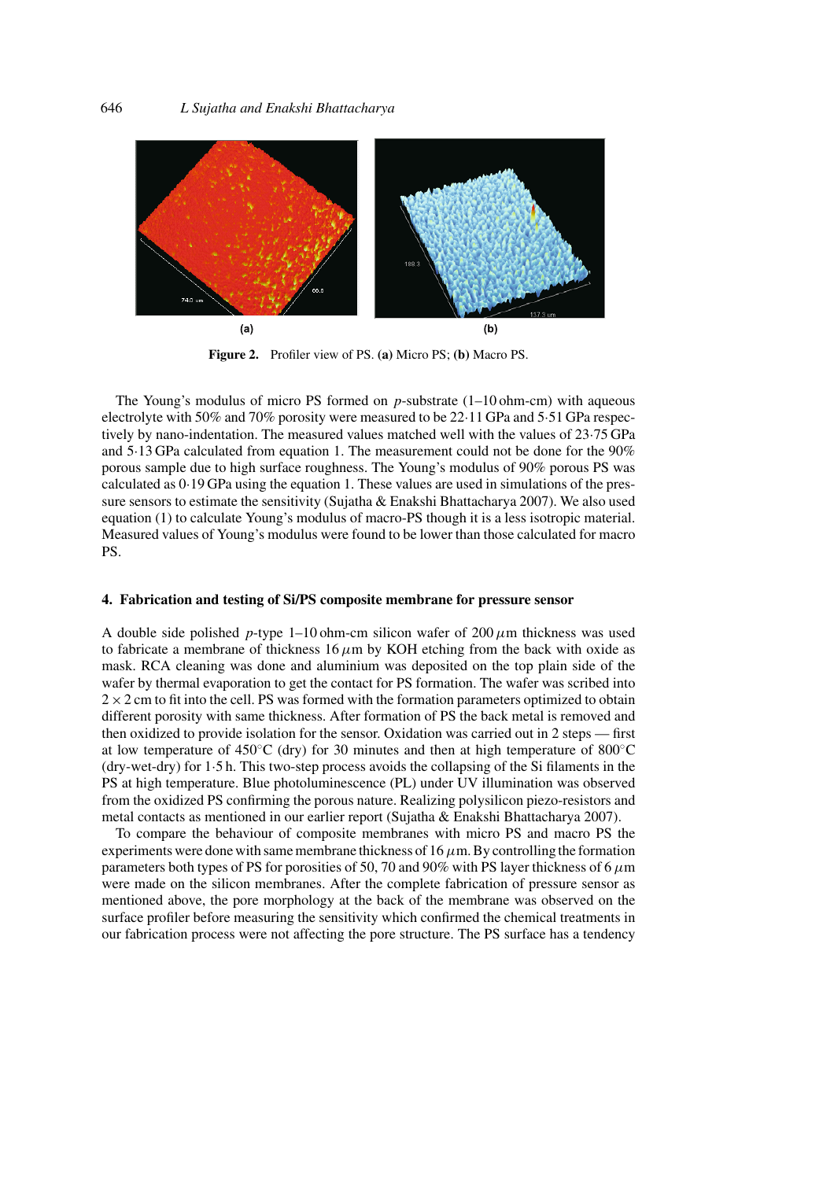

**Figure 2.** Profiler view of PS. **(a)** Micro PS; **(b)** Macro PS.

The Young's modulus of micro PS formed on *p*-substrate (1–10 ohm-cm) with aqueous electrolyte with 50% and 70% porosity were measured to be 22·11 GPa and 5·51 GPa respectively by nano-indentation. The measured values matched well with the values of 23·75 GPa and 5·13 GPa calculated from equation 1. The measurement could not be done for the 90% porous sample due to high surface roughness. The Young's modulus of 90% porous PS was calculated as 0·19 GPa using the equation 1. These values are used in simulations of the pressure sensors to estimate the sensitivity (Sujatha & Enakshi Bhattacharya 2007). We also used equation (1) to calculate Young's modulus of macro-PS though it is a less isotropic material. Measured values of Young's modulus were found to be lower than those calculated for macro PS.

#### **4. Fabrication and testing of Si/PS composite membrane for pressure sensor**

A double side polished *p*-type 1–10 ohm-cm silicon wafer of 200  $\mu$ m thickness was used to fabricate a membrane of thickness  $16 \mu m$  by KOH etching from the back with oxide as mask. RCA cleaning was done and aluminium was deposited on the top plain side of the wafer by thermal evaporation to get the contact for PS formation. The wafer was scribed into  $2 \times 2$  cm to fit into the cell. PS was formed with the formation parameters optimized to obtain different porosity with same thickness. After formation of PS the back metal is removed and then oxidized to provide isolation for the sensor. Oxidation was carried out in 2 steps — first at low temperature of 450<sup>°</sup>C (dry) for 30 minutes and then at high temperature of 800<sup>°</sup>C (dry-wet-dry) for 1·5 h. This two-step process avoids the collapsing of the Si filaments in the PS at high temperature. Blue photoluminescence (PL) under UV illumination was observed from the oxidized PS confirming the porous nature. Realizing polysilicon piezo-resistors and metal contacts as mentioned in our earlier report (Sujatha & Enakshi Bhattacharya 2007).

To compare the behaviour of composite membranes with micro PS and macro PS the experiments were done with same membrane thickness of 16 $\mu$ m. By controlling the formation parameters both types of PS for porosities of 50, 70 and 90% with PS layer thickness of 6*µ*m were made on the silicon membranes. After the complete fabrication of pressure sensor as mentioned above, the pore morphology at the back of the membrane was observed on the surface profiler before measuring the sensitivity which confirmed the chemical treatments in our fabrication process were not affecting the pore structure. The PS surface has a tendency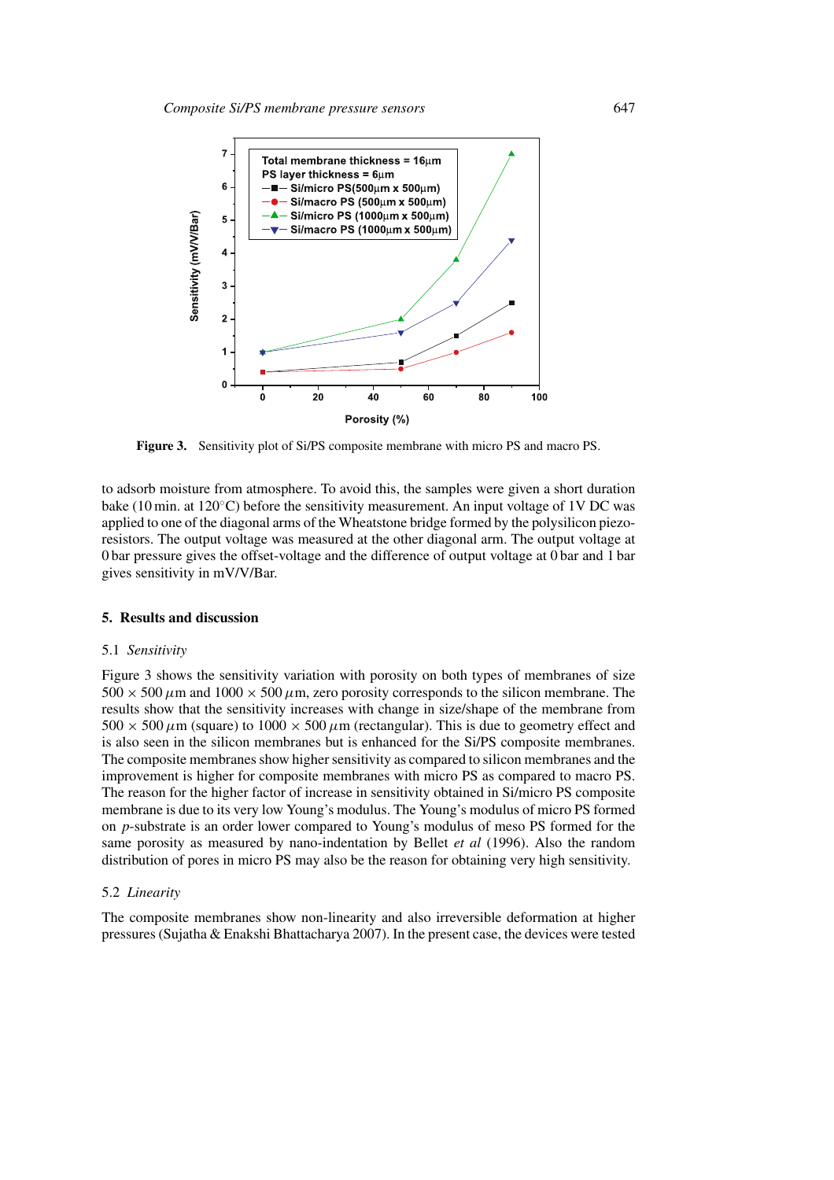

**Figure 3.** Sensitivity plot of Si/PS composite membrane with micro PS and macro PS.

to adsorb moisture from atmosphere. To avoid this, the samples were given a short duration bake (10 min. at 120◦C) before the sensitivity measurement. An input voltage of 1V DC was applied to one of the diagonal arms of the Wheatstone bridge formed by the polysilicon piezoresistors. The output voltage was measured at the other diagonal arm. The output voltage at 0 bar pressure gives the offset-voltage and the difference of output voltage at 0 bar and 1 bar gives sensitivity in mV/V/Bar.

#### **5. Results and discussion**

#### 5.1 *Sensitivity*

Figure 3 shows the sensitivity variation with porosity on both types of membranes of size  $500 \times 500 \mu$ m and  $1000 \times 500 \mu$ m, zero porosity corresponds to the silicon membrane. The results show that the sensitivity increases with change in size/shape of the membrane from  $500 \times 500 \,\mu$ m (square) to  $1000 \times 500 \,\mu$ m (rectangular). This is due to geometry effect and is also seen in the silicon membranes but is enhanced for the Si/PS composite membranes. The composite membranes show higher sensitivity as compared to silicon membranes and the improvement is higher for composite membranes with micro PS as compared to macro PS. The reason for the higher factor of increase in sensitivity obtained in Si/micro PS composite membrane is due to its very low Young's modulus. The Young's modulus of micro PS formed on *p*-substrate is an order lower compared to Young's modulus of meso PS formed for the same porosity as measured by nano-indentation by Bellet *et al* (1996). Also the random distribution of pores in micro PS may also be the reason for obtaining very high sensitivity.

#### 5.2 *Linearity*

The composite membranes show non-linearity and also irreversible deformation at higher pressures (Sujatha & Enakshi Bhattacharya 2007). In the present case, the devices were tested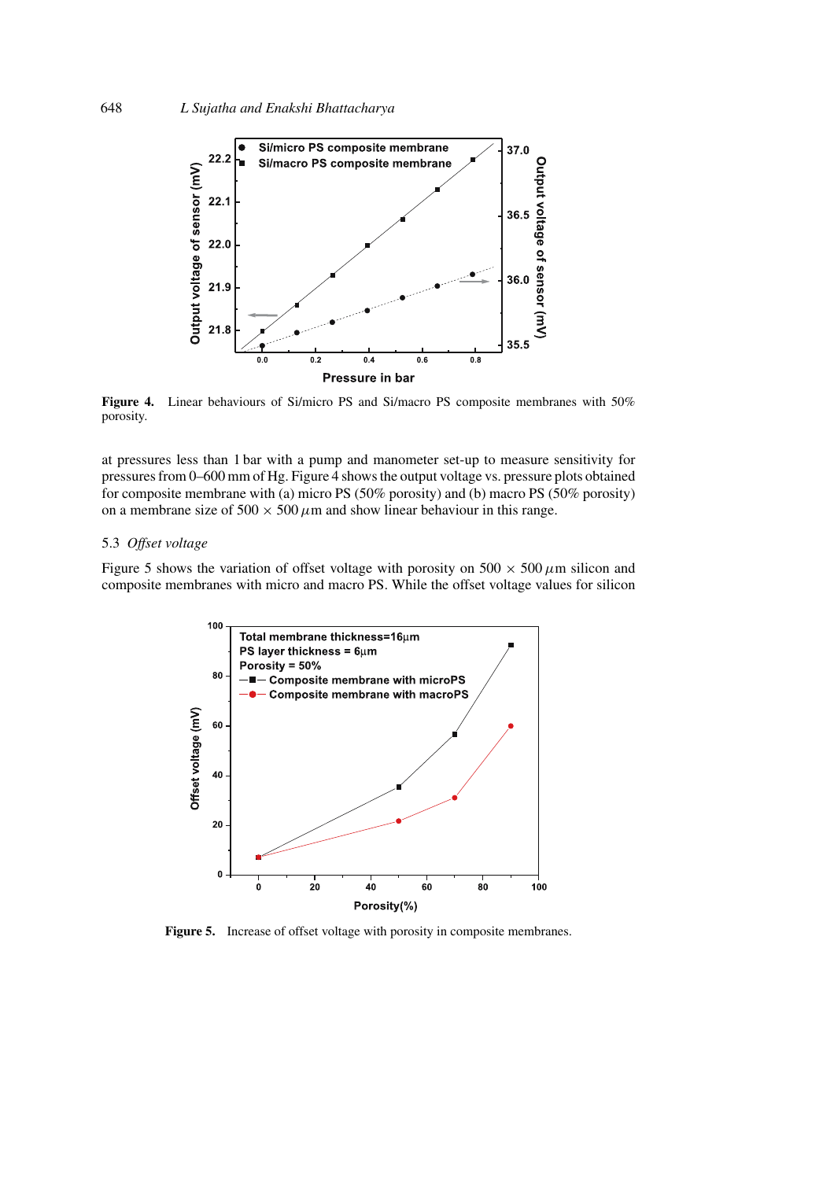

**Figure 4.** Linear behaviours of Si/micro PS and Si/macro PS composite membranes with 50% porosity.

at pressures less than 1 bar with a pump and manometer set-up to measure sensitivity for pressures from 0–600 mm of Hg. Figure 4 shows the output voltage vs. pressure plots obtained for composite membrane with (a) micro PS (50% porosity) and (b) macro PS (50% porosity) on a membrane size of  $500 \times 500 \mu$ m and show linear behaviour in this range.

# 5.3 *Offset voltage*

Figure 5 shows the variation of offset voltage with porosity on  $500 \times 500 \mu m$  silicon and composite membranes with micro and macro PS. While the offset voltage values for silicon



Figure 5. Increase of offset voltage with porosity in composite membranes.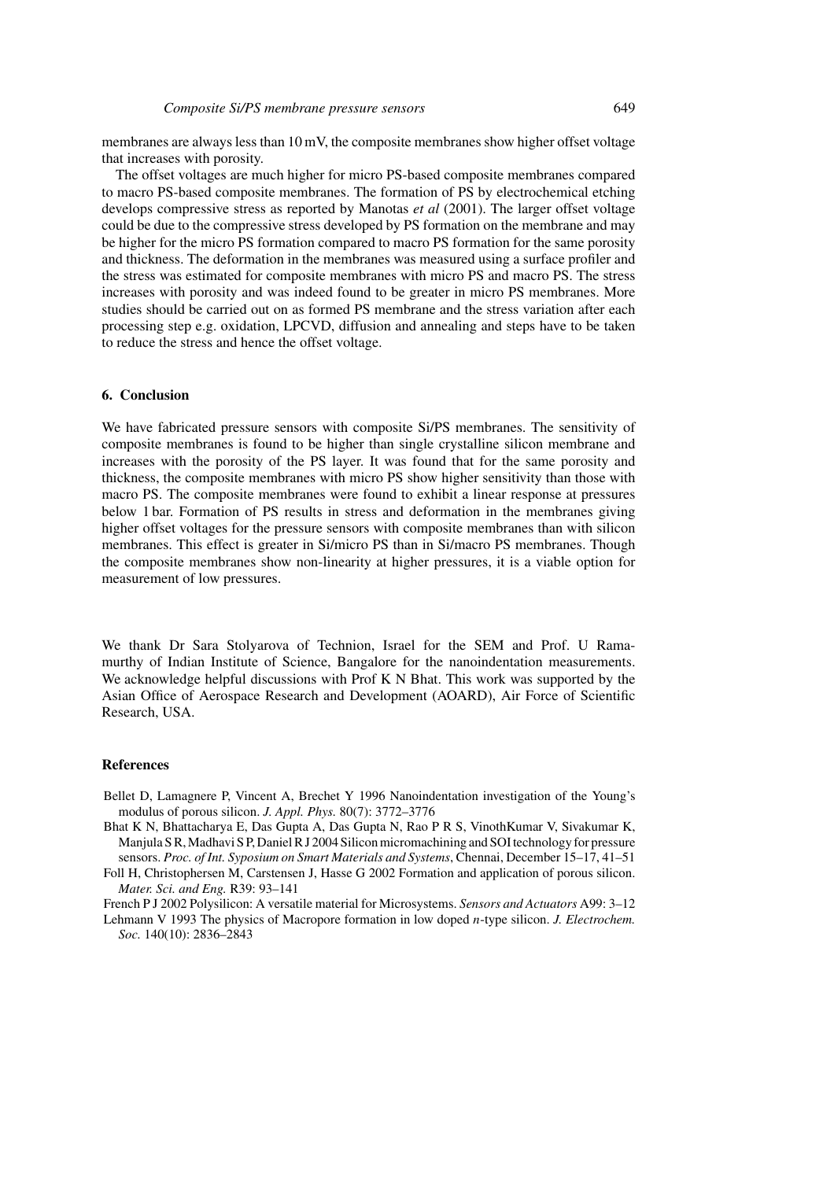membranes are always less than 10 mV, the composite membranes show higher offset voltage that increases with porosity.

The offset voltages are much higher for micro PS-based composite membranes compared to macro PS-based composite membranes. The formation of PS by electrochemical etching develops compressive stress as reported by Manotas *et al* (2001). The larger offset voltage could be due to the compressive stress developed by PS formation on the membrane and may be higher for the micro PS formation compared to macro PS formation for the same porosity and thickness. The deformation in the membranes was measured using a surface profiler and the stress was estimated for composite membranes with micro PS and macro PS. The stress increases with porosity and was indeed found to be greater in micro PS membranes. More studies should be carried out on as formed PS membrane and the stress variation after each processing step e.g. oxidation, LPCVD, diffusion and annealing and steps have to be taken to reduce the stress and hence the offset voltage.

#### **6. Conclusion**

We have fabricated pressure sensors with composite Si/PS membranes. The sensitivity of composite membranes is found to be higher than single crystalline silicon membrane and increases with the porosity of the PS layer. It was found that for the same porosity and thickness, the composite membranes with micro PS show higher sensitivity than those with macro PS. The composite membranes were found to exhibit a linear response at pressures below 1 bar. Formation of PS results in stress and deformation in the membranes giving higher offset voltages for the pressure sensors with composite membranes than with silicon membranes. This effect is greater in Si/micro PS than in Si/macro PS membranes. Though the composite membranes show non-linearity at higher pressures, it is a viable option for measurement of low pressures.

We thank Dr Sara Stolyarova of Technion, Israel for the SEM and Prof. U Ramamurthy of Indian Institute of Science, Bangalore for the nanoindentation measurements. We acknowledge helpful discussions with Prof K N Bhat. This work was supported by the Asian Office of Aerospace Research and Development (AOARD), Air Force of Scientific Research, USA.

#### **References**

- Bellet D, Lamagnere P, Vincent A, Brechet Y 1996 Nanoindentation investigation of the Young's modulus of porous silicon. *J. Appl. Phys.* 80(7): 3772–3776
- Bhat K N, Bhattacharya E, Das Gupta A, Das Gupta N, Rao P R S, VinothKumar V, Sivakumar K, Manjula S R, Madhavi S P, Daniel R J 2004 Silicon micromachining and SOI technology for pressure sensors. *Proc. of Int. Syposium on Smart Materials and Systems*, Chennai, December 15–17, 41–51

Foll H, Christophersen M, Carstensen J, Hasse G 2002 Formation and application of porous silicon. *Mater. Sci. and Eng.* R39: 93–141

French P J 2002 Polysilicon: A versatile material for Microsystems. *Sensors and Actuators* A99: 3–12

Lehmann V 1993 The physics of Macropore formation in low doped *n*-type silicon. *J. Electrochem. Soc.* 140(10): 2836–2843